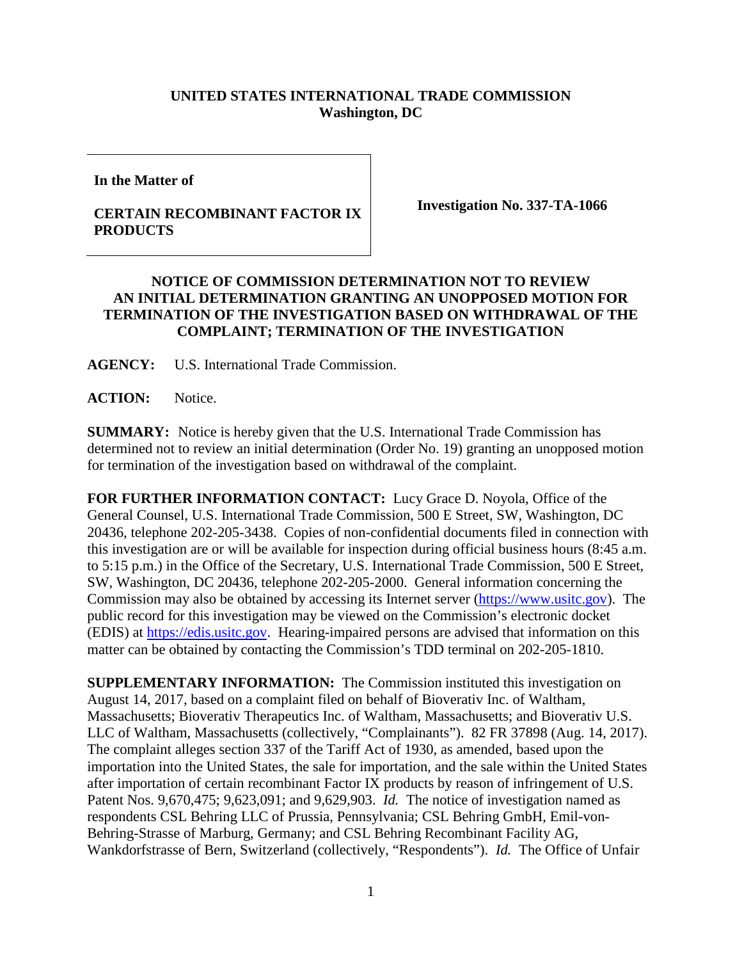## **UNITED STATES INTERNATIONAL TRADE COMMISSION Washington, DC**

**In the Matter of**

## **CERTAIN RECOMBINANT FACTOR IX PRODUCTS**

**Investigation No. 337-TA-1066**

## **NOTICE OF COMMISSION DETERMINATION NOT TO REVIEW AN INITIAL DETERMINATION GRANTING AN UNOPPOSED MOTION FOR TERMINATION OF THE INVESTIGATION BASED ON WITHDRAWAL OF THE COMPLAINT; TERMINATION OF THE INVESTIGATION**

**AGENCY:** U.S. International Trade Commission.

ACTION: Notice.

**SUMMARY:** Notice is hereby given that the U.S. International Trade Commission has determined not to review an initial determination (Order No. 19) granting an unopposed motion for termination of the investigation based on withdrawal of the complaint.

**FOR FURTHER INFORMATION CONTACT:** Lucy Grace D. Noyola, Office of the General Counsel, U.S. International Trade Commission, 500 E Street, SW, Washington, DC 20436, telephone 202-205-3438. Copies of non-confidential documents filed in connection with this investigation are or will be available for inspection during official business hours (8:45 a.m. to 5:15 p.m.) in the Office of the Secretary, U.S. International Trade Commission, 500 E Street, SW, Washington, DC 20436, telephone 202-205-2000. General information concerning the Commission may also be obtained by accessing its Internet server [\(https://www.usitc.gov\)](https://www.usitc.gov/). The public record for this investigation may be viewed on the Commission's electronic docket (EDIS) at [https://edis.usitc.gov.](https://edis.usitc.gov/) Hearing-impaired persons are advised that information on this matter can be obtained by contacting the Commission's TDD terminal on 202-205-1810.

**SUPPLEMENTARY INFORMATION:** The Commission instituted this investigation on August 14, 2017, based on a complaint filed on behalf of Bioverativ Inc. of Waltham, Massachusetts; Bioverativ Therapeutics Inc. of Waltham, Massachusetts; and Bioverativ U.S. LLC of Waltham, Massachusetts (collectively, "Complainants"). 82 FR 37898 (Aug. 14, 2017). The complaint alleges section 337 of the Tariff Act of 1930, as amended, based upon the importation into the United States, the sale for importation, and the sale within the United States after importation of certain recombinant Factor IX products by reason of infringement of U.S. Patent Nos. 9,670,475; 9,623,091; and 9,629,903. *Id.* The notice of investigation named as respondents CSL Behring LLC of Prussia, Pennsylvania; CSL Behring GmbH, Emil-von-Behring-Strasse of Marburg, Germany; and CSL Behring Recombinant Facility AG, Wankdorfstrasse of Bern, Switzerland (collectively, "Respondents"). *Id.* The Office of Unfair